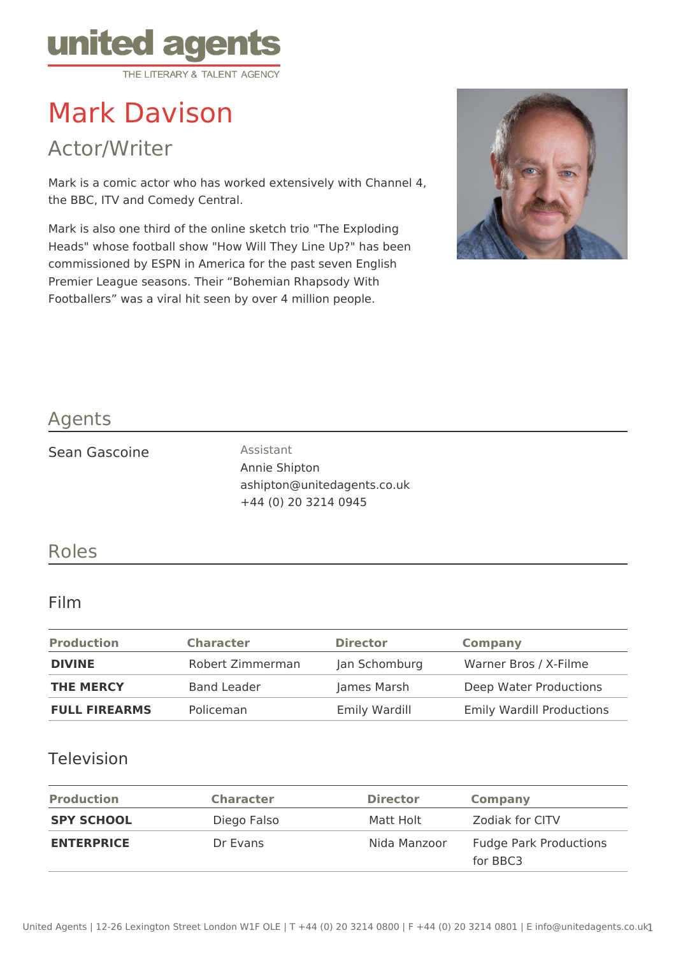

# Mark Davison

Actor/Writer

Mark is a comic actor who has worked extensively with Channel 4, the BBC, ITV and Comedy Central.

Mark is also one third of the online sketch trio "The Exploding Heads" whose football show "How Will They Line Up?" has been commissioned by ESPN in America for the past seven English Premier League seasons. Their "Bohemian Rhapsody With Footballers" was a viral hit seen by over 4 million people.



# Agents

#### Sean Gascoine **Assistant**

Annie Shipton ashipton@unitedagents.co.uk +44 (0) 20 3214 0945

### Roles

#### Film

| <b>Production</b>    | <b>Character</b>   | <b>Director</b>      | Company                          |
|----------------------|--------------------|----------------------|----------------------------------|
| <b>DIVINE</b>        | Robert Zimmerman   | Jan Schomburg        | Warner Bros / X-Filme            |
| <b>THE MERCY</b>     | <b>Band Leader</b> | James Marsh          | Deep Water Productions           |
| <b>FULL FIREARMS</b> | Policeman          | <b>Emily Wardill</b> | <b>Emily Wardill Productions</b> |

#### Television

| <b>Production</b> | <b>Character</b> | <b>Director</b> | Company                                   |
|-------------------|------------------|-----------------|-------------------------------------------|
| <b>SPY SCHOOL</b> | Diego Falso      | Matt Holt       | Zodiak for CITV                           |
| <b>ENTERPRICE</b> | Dr Evans         | Nida Manzoor    | <b>Fudge Park Productions</b><br>for BBC3 |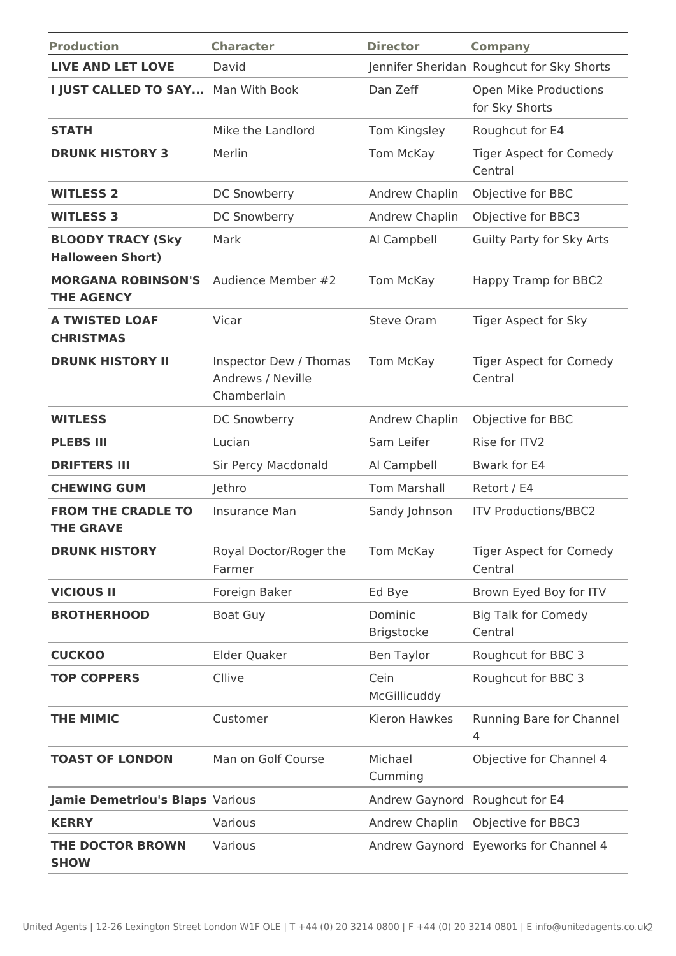| <b>Production</b>                                   | <b>Character</b>                                           | <b>Director</b>       | <b>Company</b>                                 |
|-----------------------------------------------------|------------------------------------------------------------|-----------------------|------------------------------------------------|
| <b>LIVE AND LET LOVE</b>                            | David                                                      |                       | Jennifer Sheridan Roughcut for Sky Shorts      |
| I JUST CALLED TO SAY Man With Book                  |                                                            | Dan Zeff              | <b>Open Mike Productions</b><br>for Sky Shorts |
| <b>STATH</b>                                        | Mike the Landlord                                          | Tom Kingsley          | Roughcut for E4                                |
| <b>DRUNK HISTORY 3</b>                              | Merlin                                                     | <b>Tom McKay</b>      | <b>Tiger Aspect for Comedy</b><br>Central      |
| <b>WITLESS 2</b>                                    | DC Snowberry                                               | Andrew Chaplin        | Objective for BBC                              |
| <b>WITLESS 3</b>                                    | DC Snowberry                                               | Andrew Chaplin        | Objective for BBC3                             |
| <b>BLOODY TRACY (Sky</b><br><b>Halloween Short)</b> | Mark                                                       | Al Campbell           | Guilty Party for Sky Arts                      |
| <b>MORGANA ROBINSON'S</b><br><b>THE AGENCY</b>      | Audience Member #2                                         | <b>Tom McKay</b>      | Happy Tramp for BBC2                           |
| <b>A TWISTED LOAF</b><br><b>CHRISTMAS</b>           | Vicar                                                      | <b>Steve Oram</b>     | Tiger Aspect for Sky                           |
| <b>DRUNK HISTORY II</b>                             | Inspector Dew / Thomas<br>Andrews / Neville<br>Chamberlain | Tom McKay             | <b>Tiger Aspect for Comedy</b><br>Central      |
| <b>WITLESS</b>                                      | DC Snowberry                                               | Andrew Chaplin        | Objective for BBC                              |
| <b>PLEBS III</b>                                    | Lucian                                                     | Sam Leifer            | Rise for ITV2                                  |
| <b>DRIFTERS III</b>                                 | Sir Percy Macdonald                                        | Al Campbell           | Bwark for E4                                   |
| <b>CHEWING GUM</b>                                  | Jethro                                                     | <b>Tom Marshall</b>   | Retort / E4                                    |
| <b>FROM THE CRADLE TO</b><br><b>THE GRAVE</b>       | <b>Insurance Man</b>                                       | Sandy Johnson         | <b>ITV Productions/BBC2</b>                    |
| <b>DRUNK HISTORY</b>                                | Royal Doctor/Roger the<br>Farmer                           | <b>Tom McKay</b>      | <b>Tiger Aspect for Comedy</b><br>Central      |
| <b>VICIOUS II</b>                                   | Foreign Baker                                              | Ed Bye                | Brown Eyed Boy for ITV                         |
| <b>BROTHERHOOD</b>                                  | <b>Boat Guy</b>                                            | Dominic<br>Brigstocke | <b>Big Talk for Comedy</b><br>Central          |
| <b>CUCKOO</b>                                       | Elder Quaker                                               | <b>Ben Taylor</b>     | Roughcut for BBC 3                             |
| <b>TOP COPPERS</b>                                  | Cllive                                                     | Cein<br>McGillicuddy  | Roughcut for BBC 3                             |
| <b>THE MIMIC</b>                                    | Customer                                                   | Kieron Hawkes         | Running Bare for Channel<br>4                  |
| <b>TOAST OF LONDON</b>                              | Man on Golf Course                                         | Michael<br>Cumming    | Objective for Channel 4                        |
| Jamie Demetriou's Blaps Various                     |                                                            | Andrew Gaynord        | Roughcut for E4                                |
| <b>KERRY</b>                                        | Various                                                    | Andrew Chaplin        | Objective for BBC3                             |
| THE DOCTOR BROWN<br><b>SHOW</b>                     | Various                                                    |                       | Andrew Gaynord Eyeworks for Channel 4          |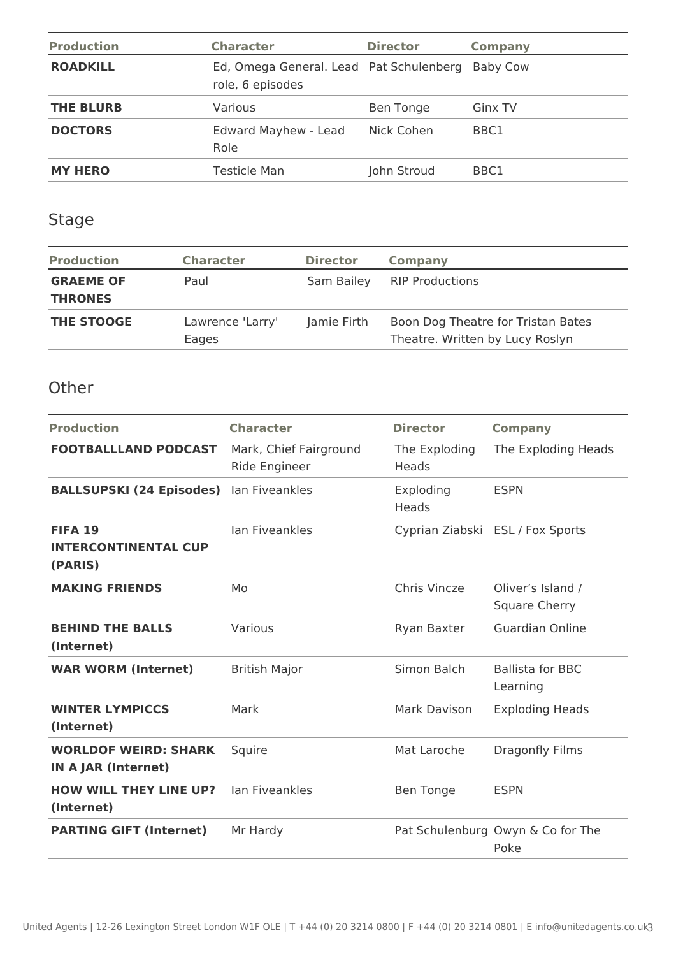| <b>Production</b> | <b>Character</b>                                            | <b>Director</b> | <b>Company</b>  |
|-------------------|-------------------------------------------------------------|-----------------|-----------------|
| <b>ROADKILL</b>   | Ed, Omega General. Lead Pat Schulenberg<br>role, 6 episodes |                 | <b>Baby Cow</b> |
| <b>THE BLURB</b>  | Various                                                     | Ben Tonge       | Ginx TV         |
| <b>DOCTORS</b>    | Edward Mayhew - Lead<br>Role                                | Nick Cohen      | BBC1            |
| <b>MY HERO</b>    | Testicle Man                                                | John Stroud     | BBC1            |

# Stage

| <b>Production</b>                  | <b>Character</b>          | <b>Director</b> | Company                                                               |
|------------------------------------|---------------------------|-----------------|-----------------------------------------------------------------------|
| <b>GRAEME OF</b><br><b>THRONES</b> | Paul                      | Sam Bailey      | <b>RIP Productions</b>                                                |
| <b>THE STOOGE</b>                  | Lawrence 'Larry'<br>Eages | Jamie Firth     | Boon Dog Theatre for Tristan Bates<br>Theatre. Written by Lucy Roslyn |

## **Other**

| <b>Production</b>                                         | <b>Character</b>                        | <b>Director</b>        | <b>Company</b>                            |
|-----------------------------------------------------------|-----------------------------------------|------------------------|-------------------------------------------|
| <b>FOOTBALLLAND PODCAST</b>                               | Mark, Chief Fairground<br>Ride Engineer | The Exploding<br>Heads | The Exploding Heads                       |
| <b>BALLSUPSKI (24 Episodes)</b>                           | <b>Ian Fiveankles</b>                   | Exploding<br>Heads     | <b>ESPN</b>                               |
| <b>FIFA 19</b><br><b>INTERCONTINENTAL CUP</b><br>(PARIS)  | <b>Ian Fiveankles</b>                   |                        | Cyprian Ziabski ESL / Fox Sports          |
| <b>MAKING FRIENDS</b>                                     | Mo                                      | Chris Vincze           | Oliver's Island /<br><b>Square Cherry</b> |
| <b>BEHIND THE BALLS</b><br>(Internet)                     | Various                                 | Ryan Baxter            | <b>Guardian Online</b>                    |
| <b>WAR WORM (Internet)</b>                                | <b>British Major</b>                    | Simon Balch            | <b>Ballista for BBC</b><br>Learning       |
| <b>WINTER LYMPICCS</b><br>(Internet)                      | Mark                                    | Mark Davison           | <b>Exploding Heads</b>                    |
| <b>WORLDOF WEIRD: SHARK</b><br><b>IN A JAR (Internet)</b> | Squire                                  | Mat Laroche            | <b>Dragonfly Films</b>                    |
| <b>HOW WILL THEY LINE UP?</b><br>(Internet)               | <b>lan Fiveankles</b>                   | <b>Ben Tonge</b>       | <b>ESPN</b>                               |
| <b>PARTING GIFT (Internet)</b>                            | Mr Hardy                                |                        | Pat Schulenburg Owyn & Co for The<br>Poke |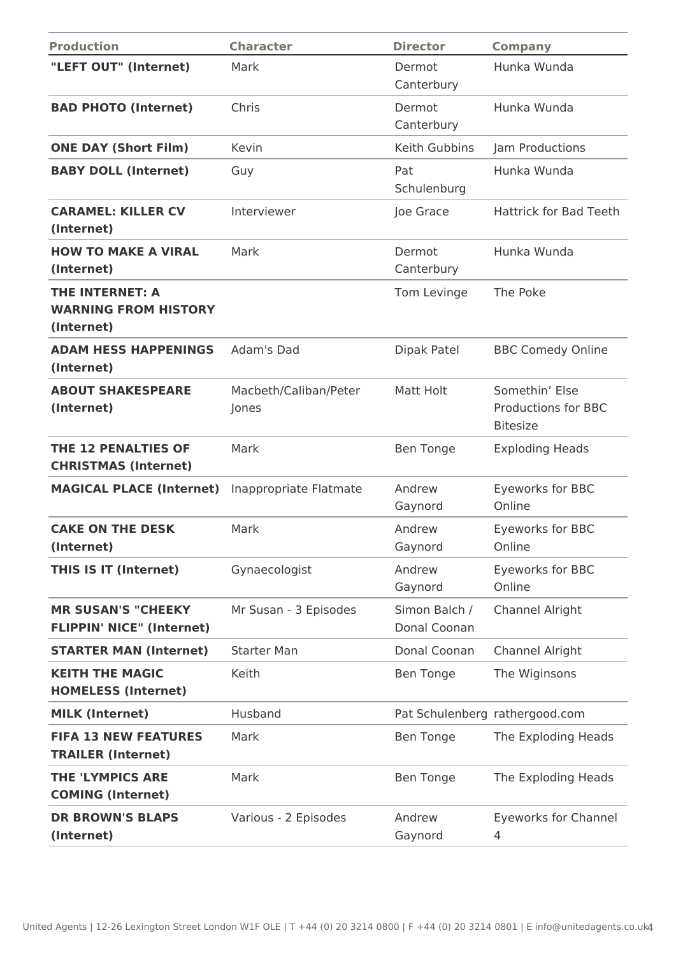| <b>Production</b>                                             | <b>Character</b>               | <b>Director</b>               | <b>Company</b>                                                  |
|---------------------------------------------------------------|--------------------------------|-------------------------------|-----------------------------------------------------------------|
| "LEFT OUT" (Internet)                                         | Mark                           | Dermot<br>Canterbury          | Hunka Wunda                                                     |
| <b>BAD PHOTO (Internet)</b>                                   | Chris                          | Dermot<br>Canterbury          | Hunka Wunda                                                     |
| <b>ONE DAY (Short Film)</b>                                   | Kevin                          | Keith Gubbins                 | Jam Productions                                                 |
| <b>BABY DOLL (Internet)</b>                                   | Guy                            | Pat<br>Schulenburg            | Hunka Wunda                                                     |
| <b>CARAMEL: KILLER CV</b><br>(Internet)                       | Interviewer                    | Joe Grace                     | <b>Hattrick for Bad Teeth</b>                                   |
| <b>HOW TO MAKE A VIRAL</b><br>(Internet)                      | Mark                           | Dermot<br>Canterbury          | Hunka Wunda                                                     |
| THE INTERNET: A<br><b>WARNING FROM HISTORY</b><br>(Internet)  |                                | Tom Levinge                   | The Poke                                                        |
| <b>ADAM HESS HAPPENINGS</b><br>(Internet)                     | Adam's Dad                     | Dipak Patel                   | <b>BBC Comedy Online</b>                                        |
| <b>ABOUT SHAKESPEARE</b><br>(Internet)                        | Macbeth/Caliban/Peter<br>Jones | Matt Holt                     | Somethin' Else<br><b>Productions for BBC</b><br><b>Bitesize</b> |
| <b>THE 12 PENALTIES OF</b><br><b>CHRISTMAS (Internet)</b>     | Mark                           | <b>Ben Tonge</b>              | <b>Exploding Heads</b>                                          |
| <b>MAGICAL PLACE (Internet)</b>                               | Inappropriate Flatmate         | Andrew<br>Gaynord             | Eyeworks for BBC<br>Online                                      |
| <b>CAKE ON THE DESK</b><br>(Internet)                         | Mark                           | Andrew<br>Gaynord             | Eyeworks for BBC<br>Online                                      |
| <b>THIS IS IT (Internet)</b>                                  | Gynaecologist                  | Andrew<br>Gaynord             | Eyeworks for BBC<br>Online                                      |
| <b>MR SUSAN'S "CHEEKY</b><br><b>FLIPPIN' NICE" (Internet)</b> | Mr Susan - 3 Episodes          | Simon Balch /<br>Donal Coonan | Channel Alright                                                 |
| <b>STARTER MAN (Internet)</b>                                 | <b>Starter Man</b>             | Donal Coonan                  | Channel Alright                                                 |
| <b>KEITH THE MAGIC</b><br><b>HOMELESS (Internet)</b>          | Keith                          | <b>Ben Tonge</b>              | The Wiginsons                                                   |
| <b>MILK (Internet)</b>                                        | Husband                        |                               | Pat Schulenberg rathergood.com                                  |
| <b>FIFA 13 NEW FEATURES</b><br><b>TRAILER (Internet)</b>      | Mark                           | <b>Ben Tonge</b>              | The Exploding Heads                                             |
| <b>THE 'LYMPICS ARE</b><br><b>COMING (Internet)</b>           | Mark                           | <b>Ben Tonge</b>              | The Exploding Heads                                             |
| <b>DR BROWN'S BLAPS</b><br>(Internet)                         | Various - 2 Episodes           | Andrew<br>Gaynord             | <b>Eyeworks for Channel</b><br>4                                |